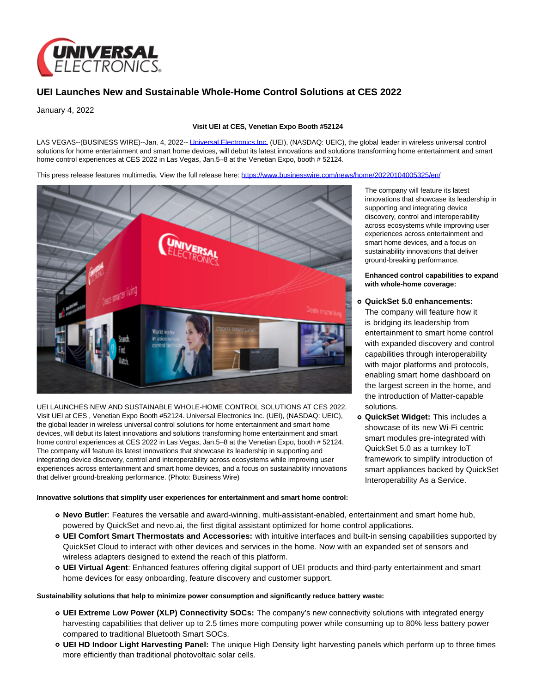

# **UEI Launches New and Sustainable Whole-Home Control Solutions at CES 2022**

January 4, 2022

# **Visit UEI at CES, Venetian Expo Booth #52124**

LAS VEGAS--(BUSINESS WIRE)--Jan. 4, 2022-- *Universal Electronics Inc.* (UEI), (NASDAQ: UEIC), the global leader in wireless universal control solutions for home entertainment and smart home devices, will debut its latest innovations and solutions transforming home entertainment and smart home control experiences at CES 2022 in Las Vegas, Jan.5–8 at the Venetian Expo, booth # 52124.

This press release features multimedia. View the full release here:<https://www.businesswire.com/news/home/20220104005325/en/>



UEI LAUNCHES NEW AND SUSTAINABLE WHOLE-HOME CONTROL SOLUTIONS AT CES 2022. Visit UEI at CES , Venetian Expo Booth #52124. Universal Electronics Inc. (UEI), (NASDAQ: UEIC), the global leader in wireless universal control solutions for home entertainment and smart home devices, will debut its latest innovations and solutions transforming home entertainment and smart home control experiences at CES 2022 in Las Vegas, Jan.5–8 at the Venetian Expo, booth # 52124. The company will feature its latest innovations that showcase its leadership in supporting and integrating device discovery, control and interoperability across ecosystems while improving user experiences across entertainment and smart home devices, and a focus on sustainability innovations that deliver ground-breaking performance. (Photo: Business Wire)

**Innovative solutions that simplify user experiences for entertainment and smart home control:**

- **Nevo Butler**: Features the versatile and award-winning, multi-assistant-enabled, entertainment and smart home hub, powered by QuickSet and nevo.ai, the first digital assistant optimized for home control applications.
- **UEI Comfort Smart Thermostats and Accessories:** with intuitive interfaces and built-in sensing capabilities supported by QuickSet Cloud to interact with other devices and services in the home. Now with an expanded set of sensors and wireless adapters designed to extend the reach of this platform.
- **UEI Virtual Agent**: Enhanced features offering digital support of UEI products and third-party entertainment and smart home devices for easy onboarding, feature discovery and customer support.

## **Sustainability solutions that help to minimize power consumption and significantly reduce battery waste:**

- **UEI Extreme Low Power (XLP) Connectivity SOCs:** The company's new connectivity solutions with integrated energy harvesting capabilities that deliver up to 2.5 times more computing power while consuming up to 80% less battery power compared to traditional Bluetooth Smart SOCs.
- **UEI HD Indoor Light Harvesting Panel:** The unique High Density light harvesting panels which perform up to three times more efficiently than traditional photovoltaic solar cells.

The company will feature its latest innovations that showcase its leadership in supporting and integrating device discovery, control and interoperability across ecosystems while improving user experiences across entertainment and smart home devices, and a focus on sustainability innovations that deliver ground-breaking performance.

# **Enhanced control capabilities to expand with whole-home coverage:**

- **QuickSet 5.0 enhancements:** The company will feature how it is bridging its leadership from entertainment to smart home control with expanded discovery and control capabilities through interoperability with major platforms and protocols, enabling smart home dashboard on the largest screen in the home, and the introduction of Matter-capable solutions.
- **QuickSet Widget:** This includes a showcase of its new Wi-Fi centric smart modules pre-integrated with QuickSet 5.0 as a turnkey IoT framework to simplify introduction of smart appliances backed by QuickSet Interoperability As a Service.